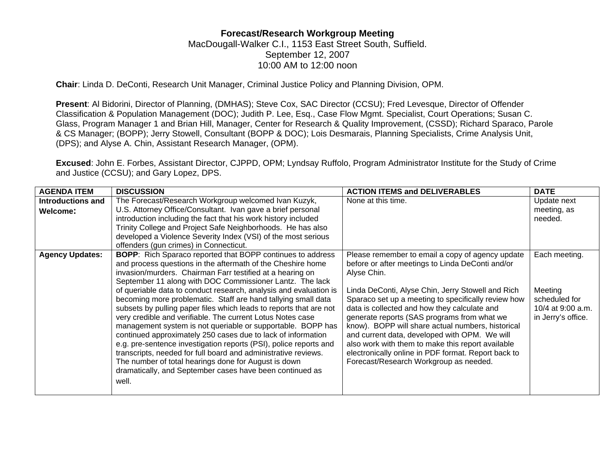## **Forecast/Research Workgroup Meeting**  MacDougall-Walker C.I., 1153 East Street South, Suffield. September 12, 2007 10:00 AM to 12:00 noon

**Chair**: Linda D. DeConti, Research Unit Manager, Criminal Justice Policy and Planning Division, OPM.

**Present**: Al Bidorini, Director of Planning, (DMHAS); Steve Cox, SAC Director (CCSU); Fred Levesque, Director of Offender Classification & Population Management (DOC); Judith P. Lee, Esq., Case Flow Mgmt. Specialist, Court Operations; Susan C. Glass, Program Manager 1 and Brian Hill, Manager, Center for Research & Quality Improvement, (CSSD); Richard Sparaco, Parole & CS Manager; (BOPP); Jerry Stowell, Consultant (BOPP & DOC); Lois Desmarais, Planning Specialists, Crime Analysis Unit, (DPS); and Alyse A. Chin, Assistant Research Manager, (OPM).

**Excused**: John E. Forbes, Assistant Director, CJPPD, OPM; Lyndsay Ruffolo, Program Administrator Institute for the Study of Crime and Justice (CCSU); and Gary Lopez, DPS.

| <b>AGENDA ITEM</b>       | <b>DISCUSSION</b>                                                  | <b>ACTION ITEMS and DELIVERABLES</b>                | <b>DATE</b>        |
|--------------------------|--------------------------------------------------------------------|-----------------------------------------------------|--------------------|
| <b>Introductions and</b> | The Forecast/Research Workgroup welcomed Ivan Kuzyk,               | None at this time.                                  | Update next        |
| Welcome:                 | U.S. Attorney Office/Consultant. Ivan gave a brief personal        |                                                     | meeting, as        |
|                          | introduction including the fact that his work history included     |                                                     | needed.            |
|                          | Trinity College and Project Safe Neighborhoods. He has also        |                                                     |                    |
|                          | developed a Violence Severity Index (VSI) of the most serious      |                                                     |                    |
|                          | offenders (gun crimes) in Connecticut.                             |                                                     |                    |
| <b>Agency Updates:</b>   | <b>BOPP:</b> Rich Sparaco reported that BOPP continues to address  | Please remember to email a copy of agency update    | Each meeting.      |
|                          | and process questions in the aftermath of the Cheshire home        | before or after meetings to Linda DeConti and/or    |                    |
|                          | invasion/murders. Chairman Farr testified at a hearing on          | Alyse Chin.                                         |                    |
|                          | September 11 along with DOC Commissioner Lantz. The lack           |                                                     |                    |
|                          | of queriable data to conduct research, analysis and evaluation is  | Linda DeConti, Alyse Chin, Jerry Stowell and Rich   | Meeting            |
|                          | becoming more problematic. Staff are hand tallying small data      | Sparaco set up a meeting to specifically review how | scheduled for      |
|                          | subsets by pulling paper files which leads to reports that are not | data is collected and how they calculate and        | 10/4 at 9:00 a.m.  |
|                          | very credible and verifiable. The current Lotus Notes case         | generate reports (SAS programs from what we         | in Jerry's office. |
|                          | management system is not queriable or supportable. BOPP has        | know). BOPP will share actual numbers, historical   |                    |
|                          | continued approximately 250 cases due to lack of information       | and current data, developed with OPM. We will       |                    |
|                          | e.g. pre-sentence investigation reports (PSI), police reports and  | also work with them to make this report available   |                    |
|                          | transcripts, needed for full board and administrative reviews.     | electronically online in PDF format. Report back to |                    |
|                          | The number of total hearings done for August is down               | Forecast/Research Workgroup as needed.              |                    |
|                          | dramatically, and September cases have been continued as           |                                                     |                    |
|                          | well.                                                              |                                                     |                    |
|                          |                                                                    |                                                     |                    |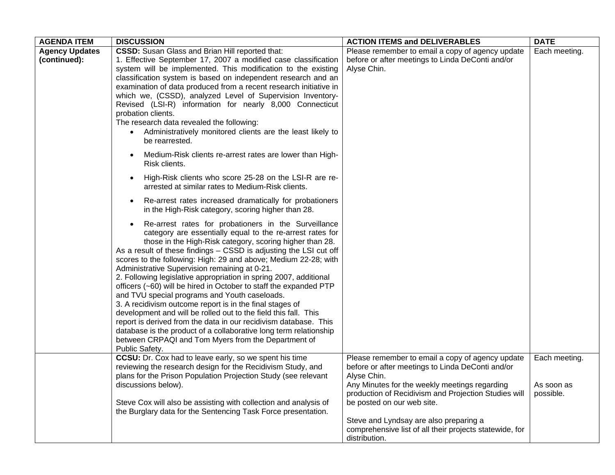| <b>AGENDA ITEM</b>                    | <b>DISCUSSION</b>                                                                                                                                                                                                                                                                                                                                                                                                                                                                                                                                                                                                                                                                                                                                                                                                                                                                                                                                                                         | <b>ACTION ITEMS and DELIVERABLES</b>                                                                                                                                     | <b>DATE</b>             |
|---------------------------------------|-------------------------------------------------------------------------------------------------------------------------------------------------------------------------------------------------------------------------------------------------------------------------------------------------------------------------------------------------------------------------------------------------------------------------------------------------------------------------------------------------------------------------------------------------------------------------------------------------------------------------------------------------------------------------------------------------------------------------------------------------------------------------------------------------------------------------------------------------------------------------------------------------------------------------------------------------------------------------------------------|--------------------------------------------------------------------------------------------------------------------------------------------------------------------------|-------------------------|
| <b>Agency Updates</b><br>(continued): | <b>CSSD:</b> Susan Glass and Brian Hill reported that:<br>1. Effective September 17, 2007 a modified case classification<br>system will be implemented. This modification to the existing<br>classification system is based on independent research and an<br>examination of data produced from a recent research initiative in<br>which we, (CSSD), analyzed Level of Supervision Inventory-                                                                                                                                                                                                                                                                                                                                                                                                                                                                                                                                                                                             | Please remember to email a copy of agency update<br>before or after meetings to Linda DeConti and/or<br>Alyse Chin.                                                      | Each meeting.           |
|                                       | Revised (LSI-R) information for nearly 8,000 Connecticut<br>probation clients.<br>The research data revealed the following:<br>Administratively monitored clients are the least likely to<br>$\bullet$<br>be rearrested.                                                                                                                                                                                                                                                                                                                                                                                                                                                                                                                                                                                                                                                                                                                                                                  |                                                                                                                                                                          |                         |
|                                       | Medium-Risk clients re-arrest rates are lower than High-<br>Risk clients.                                                                                                                                                                                                                                                                                                                                                                                                                                                                                                                                                                                                                                                                                                                                                                                                                                                                                                                 |                                                                                                                                                                          |                         |
|                                       | High-Risk clients who score 25-28 on the LSI-R are re-<br>arrested at similar rates to Medium-Risk clients.                                                                                                                                                                                                                                                                                                                                                                                                                                                                                                                                                                                                                                                                                                                                                                                                                                                                               |                                                                                                                                                                          |                         |
|                                       | Re-arrest rates increased dramatically for probationers<br>$\bullet$<br>in the High-Risk category, scoring higher than 28.                                                                                                                                                                                                                                                                                                                                                                                                                                                                                                                                                                                                                                                                                                                                                                                                                                                                |                                                                                                                                                                          |                         |
|                                       | Re-arrest rates for probationers in the Surveillance<br>$\bullet$<br>category are essentially equal to the re-arrest rates for<br>those in the High-Risk category, scoring higher than 28.<br>As a result of these findings - CSSD is adjusting the LSI cut off<br>scores to the following: High: 29 and above; Medium 22-28; with<br>Administrative Supervision remaining at 0-21.<br>2. Following legislative appropriation in spring 2007, additional<br>officers (~60) will be hired in October to staff the expanded PTP<br>and TVU special programs and Youth caseloads.<br>3. A recidivism outcome report is in the final stages of<br>development and will be rolled out to the field this fall. This<br>report is derived from the data in our recidivism database. This<br>database is the product of a collaborative long term relationship<br>between CRPAQI and Tom Myers from the Department of<br>Public Safety.<br>CCSU: Dr. Cox had to leave early, so we spent his time | Please remember to email a copy of agency update                                                                                                                         | Each meeting.           |
|                                       | reviewing the research design for the Recidivism Study, and<br>plans for the Prison Population Projection Study (see relevant<br>discussions below).                                                                                                                                                                                                                                                                                                                                                                                                                                                                                                                                                                                                                                                                                                                                                                                                                                      | before or after meetings to Linda DeConti and/or<br>Alyse Chin.<br>Any Minutes for the weekly meetings regarding<br>production of Recidivism and Projection Studies will | As soon as<br>possible. |
|                                       | Steve Cox will also be assisting with collection and analysis of<br>the Burglary data for the Sentencing Task Force presentation.                                                                                                                                                                                                                                                                                                                                                                                                                                                                                                                                                                                                                                                                                                                                                                                                                                                         | be posted on our web site.<br>Steve and Lyndsay are also preparing a<br>comprehensive list of all their projects statewide, for<br>distribution.                         |                         |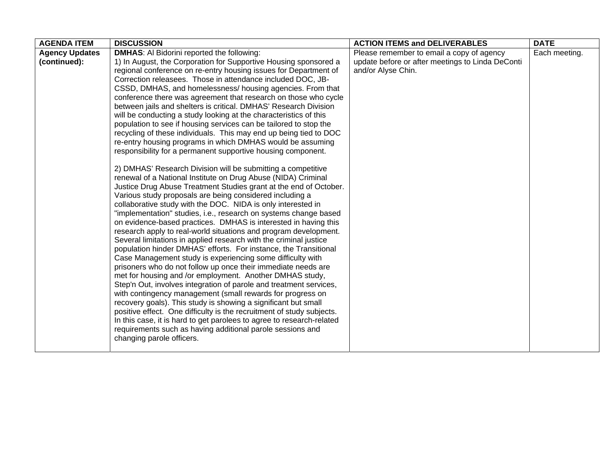| <b>AGENDA ITEM</b>    | <b>DISCUSSION</b>                                                                                                                       | <b>ACTION ITEMS and DELIVERABLES</b>             | <b>DATE</b>   |
|-----------------------|-----------------------------------------------------------------------------------------------------------------------------------------|--------------------------------------------------|---------------|
| <b>Agency Updates</b> | <b>DMHAS:</b> Al Bidorini reported the following:                                                                                       | Please remember to email a copy of agency        | Each meeting. |
| (continued):          | 1) In August, the Corporation for Supportive Housing sponsored a                                                                        | update before or after meetings to Linda DeConti |               |
|                       | regional conference on re-entry housing issues for Department of                                                                        | and/or Alyse Chin.                               |               |
|                       | Correction releasees. Those in attendance included DOC, JB-                                                                             |                                                  |               |
|                       | CSSD, DMHAS, and homelessness/ housing agencies. From that                                                                              |                                                  |               |
|                       | conference there was agreement that research on those who cycle                                                                         |                                                  |               |
|                       | between jails and shelters is critical. DMHAS' Research Division                                                                        |                                                  |               |
|                       | will be conducting a study looking at the characteristics of this                                                                       |                                                  |               |
|                       | population to see if housing services can be tailored to stop the                                                                       |                                                  |               |
|                       | recycling of these individuals. This may end up being tied to DOC                                                                       |                                                  |               |
|                       | re-entry housing programs in which DMHAS would be assuming                                                                              |                                                  |               |
|                       | responsibility for a permanent supportive housing component.                                                                            |                                                  |               |
|                       |                                                                                                                                         |                                                  |               |
|                       | 2) DMHAS' Research Division will be submitting a competitive                                                                            |                                                  |               |
|                       | renewal of a National Institute on Drug Abuse (NIDA) Criminal                                                                           |                                                  |               |
|                       | Justice Drug Abuse Treatment Studies grant at the end of October.                                                                       |                                                  |               |
|                       | Various study proposals are being considered including a                                                                                |                                                  |               |
|                       | collaborative study with the DOC. NIDA is only interested in                                                                            |                                                  |               |
|                       | "implementation" studies, i.e., research on systems change based                                                                        |                                                  |               |
|                       | on evidence-based practices. DMHAS is interested in having this                                                                         |                                                  |               |
|                       | research apply to real-world situations and program development.                                                                        |                                                  |               |
|                       | Several limitations in applied research with the criminal justice                                                                       |                                                  |               |
|                       | population hinder DMHAS' efforts. For instance, the Transitional                                                                        |                                                  |               |
|                       | Case Management study is experiencing some difficulty with                                                                              |                                                  |               |
|                       | prisoners who do not follow up once their immediate needs are                                                                           |                                                  |               |
|                       | met for housing and /or employment. Another DMHAS study,                                                                                |                                                  |               |
|                       | Step'n Out, involves integration of parole and treatment services,                                                                      |                                                  |               |
|                       | with contingency management (small rewards for progress on                                                                              |                                                  |               |
|                       | recovery goals). This study is showing a significant but small<br>positive effect. One difficulty is the recruitment of study subjects. |                                                  |               |
|                       | In this case, it is hard to get parolees to agree to research-related                                                                   |                                                  |               |
|                       | requirements such as having additional parole sessions and                                                                              |                                                  |               |
|                       | changing parole officers.                                                                                                               |                                                  |               |
|                       |                                                                                                                                         |                                                  |               |
|                       |                                                                                                                                         |                                                  |               |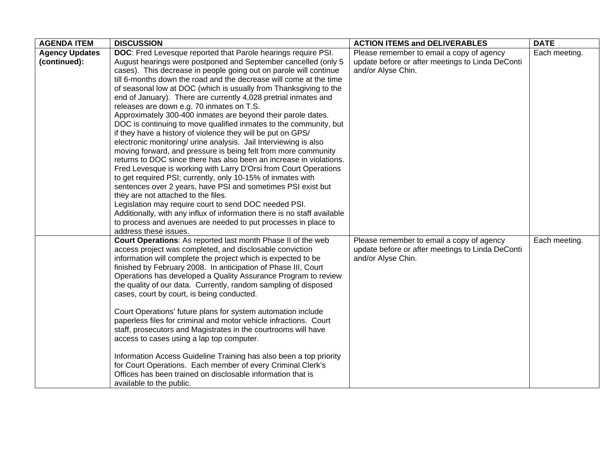| <b>AGENDA ITEM</b>    | <b>DISCUSSION</b>                                                        | <b>ACTION ITEMS and DELIVERABLES</b>             | <b>DATE</b>   |
|-----------------------|--------------------------------------------------------------------------|--------------------------------------------------|---------------|
| <b>Agency Updates</b> | DOC: Fred Levesque reported that Parole hearings require PSI.            | Please remember to email a copy of agency        | Each meeting. |
| (continued):          | August hearings were postponed and September cancelled (only 5           | update before or after meetings to Linda DeConti |               |
|                       | cases). This decrease in people going out on parole will continue        | and/or Alyse Chin.                               |               |
|                       | till 6-months down the road and the decrease will come at the time       |                                                  |               |
|                       | of seasonal low at DOC (which is usually from Thanksgiving to the        |                                                  |               |
|                       | end of January). There are currently 4,028 pretrial inmates and          |                                                  |               |
|                       | releases are down e.g. 70 inmates on T.S.                                |                                                  |               |
|                       | Approximately 300-400 inmates are beyond their parole dates.             |                                                  |               |
|                       | DOC is continuing to move qualified inmates to the community, but        |                                                  |               |
|                       | if they have a history of violence they will be put on GPS/              |                                                  |               |
|                       | electronic monitoring/ urine analysis. Jail Interviewing is also         |                                                  |               |
|                       | moving forward, and pressure is being felt from more community           |                                                  |               |
|                       | returns to DOC since there has also been an increase in violations.      |                                                  |               |
|                       | Fred Levesque is working with Larry D'Orsi from Court Operations         |                                                  |               |
|                       | to get required PSI; currently, only 10-15% of inmates with              |                                                  |               |
|                       | sentences over 2 years, have PSI and sometimes PSI exist but             |                                                  |               |
|                       | they are not attached to the files.                                      |                                                  |               |
|                       | Legislation may require court to send DOC needed PSI.                    |                                                  |               |
|                       | Additionally, with any influx of information there is no staff available |                                                  |               |
|                       | to process and avenues are needed to put processes in place to           |                                                  |               |
|                       | address these issues.                                                    |                                                  |               |
|                       | Court Operations: As reported last month Phase II of the web             | Please remember to email a copy of agency        | Each meeting. |
|                       | access project was completed, and disclosable conviction                 | update before or after meetings to Linda DeConti |               |
|                       | information will complete the project which is expected to be            | and/or Alyse Chin.                               |               |
|                       | finished by February 2008. In anticipation of Phase III, Court           |                                                  |               |
|                       | Operations has developed a Quality Assurance Program to review           |                                                  |               |
|                       | the quality of our data. Currently, random sampling of disposed          |                                                  |               |
|                       | cases, court by court, is being conducted.                               |                                                  |               |
|                       |                                                                          |                                                  |               |
|                       | Court Operations' future plans for system automation include             |                                                  |               |
|                       | paperless files for criminal and motor vehicle infractions. Court        |                                                  |               |
|                       | staff, prosecutors and Magistrates in the courtrooms will have           |                                                  |               |
|                       | access to cases using a lap top computer.                                |                                                  |               |
|                       |                                                                          |                                                  |               |
|                       | Information Access Guideline Training has also been a top priority       |                                                  |               |
|                       | for Court Operations. Each member of every Criminal Clerk's              |                                                  |               |
|                       | Offices has been trained on disclosable information that is              |                                                  |               |
|                       | available to the public.                                                 |                                                  |               |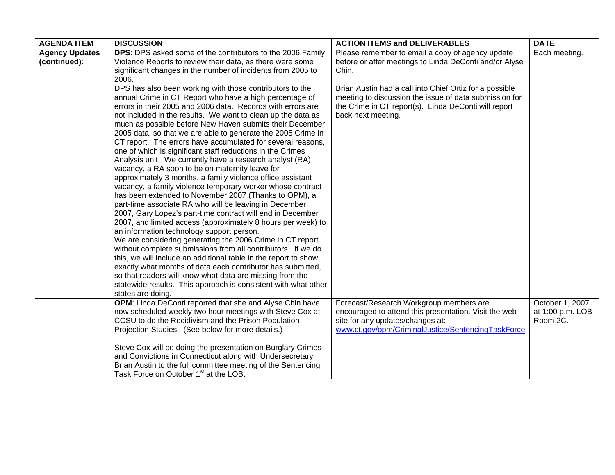| <b>AGENDA ITEM</b>    | <b>DISCUSSION</b>                                                                                                        | <b>ACTION ITEMS and DELIVERABLES</b>                    | <b>DATE</b>      |
|-----------------------|--------------------------------------------------------------------------------------------------------------------------|---------------------------------------------------------|------------------|
| <b>Agency Updates</b> | <b>DPS:</b> DPS asked some of the contributors to the 2006 Family                                                        | Please remember to email a copy of agency update        | Each meeting.    |
| (continued):          | Violence Reports to review their data, as there were some                                                                | before or after meetings to Linda DeConti and/or Alyse  |                  |
|                       | significant changes in the number of incidents from 2005 to                                                              | Chin.                                                   |                  |
|                       | 2006.                                                                                                                    |                                                         |                  |
|                       | DPS has also been working with those contributors to the                                                                 | Brian Austin had a call into Chief Ortiz for a possible |                  |
|                       | annual Crime in CT Report who have a high percentage of                                                                  | meeting to discussion the issue of data submission for  |                  |
|                       | errors in their 2005 and 2006 data. Records with errors are                                                              | the Crime in CT report(s). Linda DeConti will report    |                  |
|                       | not included in the results. We want to clean up the data as                                                             | back next meeting.                                      |                  |
|                       | much as possible before New Haven submits their December                                                                 |                                                         |                  |
|                       | 2005 data, so that we are able to generate the 2005 Crime in                                                             |                                                         |                  |
|                       | CT report. The errors have accumulated for several reasons,                                                              |                                                         |                  |
|                       | one of which is significant staff reductions in the Crimes                                                               |                                                         |                  |
|                       | Analysis unit. We currently have a research analyst (RA)                                                                 |                                                         |                  |
|                       | vacancy, a RA soon to be on maternity leave for                                                                          |                                                         |                  |
|                       | approximately 3 months, a family violence office assistant<br>vacancy, a family violence temporary worker whose contract |                                                         |                  |
|                       | has been extended to November 2007 (Thanks to OPM), a                                                                    |                                                         |                  |
|                       | part-time associate RA who will be leaving in December                                                                   |                                                         |                  |
|                       | 2007, Gary Lopez's part-time contract will end in December                                                               |                                                         |                  |
|                       | 2007, and limited access (approximately 8 hours per week) to                                                             |                                                         |                  |
|                       | an information technology support person.                                                                                |                                                         |                  |
|                       | We are considering generating the 2006 Crime in CT report                                                                |                                                         |                  |
|                       | without complete submissions from all contributors. If we do                                                             |                                                         |                  |
|                       | this, we will include an additional table in the report to show                                                          |                                                         |                  |
|                       | exactly what months of data each contributor has submitted,                                                              |                                                         |                  |
|                       | so that readers will know what data are missing from the                                                                 |                                                         |                  |
|                       | statewide results. This approach is consistent with what other                                                           |                                                         |                  |
|                       | states are doing.                                                                                                        |                                                         |                  |
|                       | OPM: Linda DeConti reported that she and Alyse Chin have                                                                 | Forecast/Research Workgroup members are                 | October 1, 2007  |
|                       | now scheduled weekly two hour meetings with Steve Cox at                                                                 | encouraged to attend this presentation. Visit the web   | at 1:00 p.m. LOB |
|                       | CCSU to do the Recidivism and the Prison Population                                                                      | site for any updates/changes at:                        | Room 2C.         |
|                       | Projection Studies. (See below for more details.)                                                                        | www.ct.gov/opm/CriminalJustice/SentencingTaskForce      |                  |
|                       |                                                                                                                          |                                                         |                  |
|                       | Steve Cox will be doing the presentation on Burglary Crimes                                                              |                                                         |                  |
|                       | and Convictions in Connecticut along with Undersecretary                                                                 |                                                         |                  |
|                       | Brian Austin to the full committee meeting of the Sentencing                                                             |                                                         |                  |
|                       | Task Force on October 1 <sup>st</sup> at the LOB.                                                                        |                                                         |                  |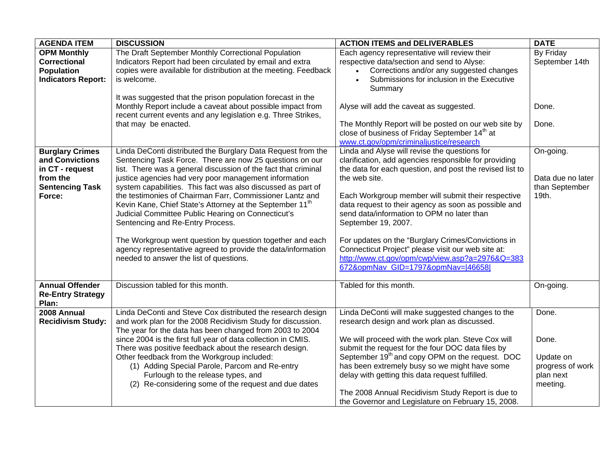| <b>AGENDA ITEM</b>        | <b>DISCUSSION</b>                                                    | <b>ACTION ITEMS and DELIVERABLES</b>                        | <b>DATE</b>       |
|---------------------------|----------------------------------------------------------------------|-------------------------------------------------------------|-------------------|
| <b>OPM Monthly</b>        | The Draft September Monthly Correctional Population                  | Each agency representative will review their                | By Friday         |
| <b>Correctional</b>       | Indicators Report had been circulated by email and extra             | respective data/section and send to Alyse:                  | September 14th    |
| <b>Population</b>         | copies were available for distribution at the meeting. Feedback      | Corrections and/or any suggested changes                    |                   |
| <b>Indicators Report:</b> | is welcome.                                                          | Submissions for inclusion in the Executive                  |                   |
|                           |                                                                      | Summary                                                     |                   |
|                           | It was suggested that the prison population forecast in the          |                                                             |                   |
|                           | Monthly Report include a caveat about possible impact from           | Alyse will add the caveat as suggested.                     | Done.             |
|                           | recent current events and any legislation e.g. Three Strikes,        |                                                             |                   |
|                           | that may be enacted.                                                 | The Monthly Report will be posted on our web site by        | Done.             |
|                           |                                                                      | close of business of Friday September 14 <sup>th</sup> at   |                   |
|                           |                                                                      | www.ct.gov/opm/criminaljustice/research                     |                   |
| <b>Burglary Crimes</b>    | Linda DeConti distributed the Burglary Data Request from the         | Linda and Alyse will revise the questions for               | On-going.         |
| and Convictions           | Sentencing Task Force. There are now 25 questions on our             | clarification, add agencies responsible for providing       |                   |
| in CT - request           | list. There was a general discussion of the fact that criminal       | the data for each question, and post the revised list to    |                   |
| from the                  | justice agencies had very poor management information                | the web site.                                               | Data due no later |
| <b>Sentencing Task</b>    | system capabilities. This fact was also discussed as part of         |                                                             | than September    |
| Force:                    | the testimonies of Chairman Farr, Commissioner Lantz and             | Each Workgroup member will submit their respective          | 19th.             |
|                           | Kevin Kane, Chief State's Attorney at the September 11 <sup>th</sup> | data request to their agency as soon as possible and        |                   |
|                           | Judicial Committee Public Hearing on Connecticut's                   | send data/information to OPM no later than                  |                   |
|                           | Sentencing and Re-Entry Process.                                     | September 19, 2007.                                         |                   |
|                           | The Workgroup went question by question together and each            | For updates on the "Burglary Crimes/Convictions in          |                   |
|                           | agency representative agreed to provide the data/information         | Connecticut Project" please visit our web site at:          |                   |
|                           | needed to answer the list of questions.                              | http://www.ct.gov/opm/cwp/view.asp?a=2976&Q=383             |                   |
|                           |                                                                      | 672&opmNav GID=1797&opmNav= 46658                           |                   |
|                           |                                                                      |                                                             |                   |
| <b>Annual Offender</b>    | Discussion tabled for this month.                                    | Tabled for this month.                                      | On-going.         |
| <b>Re-Entry Strategy</b>  |                                                                      |                                                             |                   |
| Plan:                     |                                                                      |                                                             |                   |
| 2008 Annual               | Linda DeConti and Steve Cox distributed the research design          | Linda DeConti will make suggested changes to the            | Done.             |
| <b>Recidivism Study:</b>  | and work plan for the 2008 Recidivism Study for discussion.          | research design and work plan as discussed.                 |                   |
|                           | The year for the data has been changed from 2003 to 2004             |                                                             |                   |
|                           | since 2004 is the first full year of data collection in CMIS.        | We will proceed with the work plan. Steve Cox will          | Done.             |
|                           | There was positive feedback about the research design.               | submit the request for the four DOC data files by           |                   |
|                           | Other feedback from the Workgroup included:                          | September 19 <sup>th</sup> and copy OPM on the request. DOC | Update on         |
|                           | (1) Adding Special Parole, Parcom and Re-entry                       | has been extremely busy so we might have some               | progress of work  |
|                           | Furlough to the release types, and                                   | delay with getting this data request fulfilled.             | plan next         |
|                           | (2) Re-considering some of the request and due dates                 |                                                             | meeting.          |
|                           |                                                                      | The 2008 Annual Recidivism Study Report is due to           |                   |
|                           |                                                                      | the Governor and Legislature on February 15, 2008.          |                   |